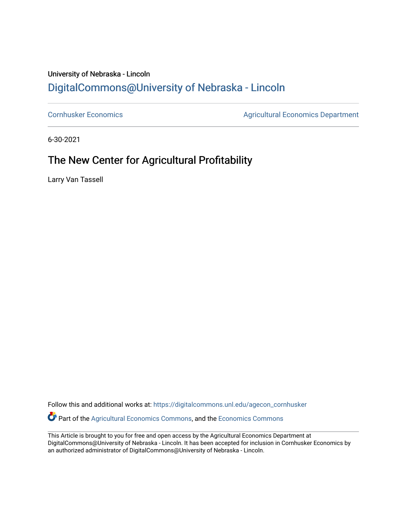### University of Nebraska - Lincoln [DigitalCommons@University of Nebraska - Lincoln](https://digitalcommons.unl.edu/)

[Cornhusker Economics](https://digitalcommons.unl.edu/agecon_cornhusker) **Agricultural Economics** Department

6-30-2021

## The New Center for Agricultural Profitability

Larry Van Tassell

Follow this and additional works at: [https://digitalcommons.unl.edu/agecon\\_cornhusker](https://digitalcommons.unl.edu/agecon_cornhusker?utm_source=digitalcommons.unl.edu%2Fagecon_cornhusker%2F1110&utm_medium=PDF&utm_campaign=PDFCoverPages)  Part of the [Agricultural Economics Commons,](http://network.bepress.com/hgg/discipline/1225?utm_source=digitalcommons.unl.edu%2Fagecon_cornhusker%2F1110&utm_medium=PDF&utm_campaign=PDFCoverPages) and the [Economics Commons](http://network.bepress.com/hgg/discipline/340?utm_source=digitalcommons.unl.edu%2Fagecon_cornhusker%2F1110&utm_medium=PDF&utm_campaign=PDFCoverPages) 

This Article is brought to you for free and open access by the Agricultural Economics Department at DigitalCommons@University of Nebraska - Lincoln. It has been accepted for inclusion in Cornhusker Economics by an authorized administrator of DigitalCommons@University of Nebraska - Lincoln.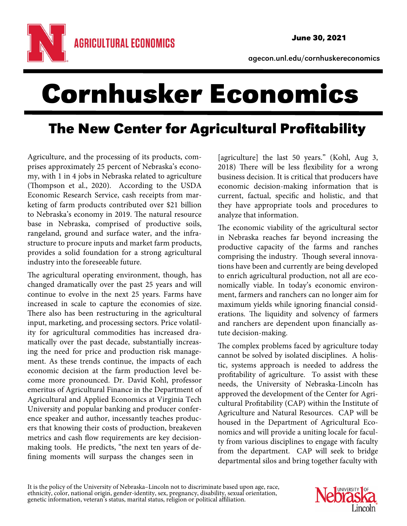agecon.unl.edu/cornhuskereconomics

# **Cornhusker Economics**

# The New Center for Agricultural Profitability The New Center for Agricultural Profitability

Agriculture, and the processing of its products, comprises approximately 25 percent of Nebraska's economy, with 1 in 4 jobs in Nebraska related to agriculture (Thompson et al., 2020). According to the USDA Economic Research Service, cash receipts from marketing of farm products contributed over \$21 billion to Nebraska's economy in 2019. The natural resource base in Nebraska, comprised of productive soils, rangeland, ground and surface water, and the infrastructure to procure inputs and market farm products, provides a solid foundation for a strong agricultural industry into the foreseeable future.

The agricultural operating environment, though, has changed dramatically over the past 25 years and will continue to evolve in the next 25 years. Farms have increased in scale to capture the economies of size. There also has been restructuring in the agricultural input, marketing, and processing sectors. Price volatility for agricultural commodities has increased dramatically over the past decade, substantially increasing the need for price and production risk management. As these trends continue, the impacts of each economic decision at the farm production level become more pronounced. Dr. David Kohl, professor emeritus of Agricultural Finance in the Department of Agricultural and Applied Economics at Virginia Tech University and popular banking and producer conference speaker and author, incessantly teaches producers that knowing their costs of production, breakeven metrics and cash flow requirements are key decisionmaking tools. He predicts, "the next ten years of defining moments will surpass the changes seen in

[agriculture] the last 50 years." (Kohl, Aug 3, 2018) There will be less flexibility for a wrong business decision. It is critical that producers have economic decision-making information that is current, factual, specific and holistic, and that they have appropriate tools and procedures to analyze that information.

The economic viability of the agricultural sector in Nebraska reaches far beyond increasing the productive capacity of the farms and ranches comprising the industry. Though several innovations have been and currently are being developed to enrich agricultural production, not all are economically viable. In today's economic environment, farmers and ranchers can no longer aim for maximum yields while ignoring financial considerations. The liquidity and solvency of farmers and ranchers are dependent upon financially astute decision-making.

The complex problems faced by agriculture today cannot be solved by isolated disciplines. A holistic, systems approach is needed to address the profitability of agriculture. To assist with these needs, the University of Nebraska-Lincoln has approved the development of the Center for Agricultural Profitability (CAP) within the Institute of Agriculture and Natural Resources. CAP will be housed in the Department of Agricultural Economics and will provide a uniting locale for faculty from various disciplines to engage with faculty from the department. CAP will seek to bridge departmental silos and bring together faculty with

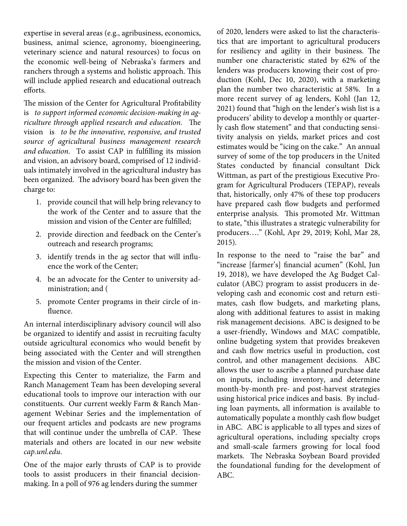expertise in several areas (e.g., agribusiness, economics, business, animal science, agronomy, bioengineering, veterinary science and natural resources) to focus on the economic well-being of Nebraska's farmers and ranchers through a systems and holistic approach. This will include applied research and educational outreach efforts.

The mission of the Center for Agricultural Profitability is to support informed economic decision-making in agriculture through applied research and education. The vision is to be the innovative, responsive, and trusted source of agricultural business management research and education. To assist CAP in fulfilling its mission and vision, an advisory board, comprised of 12 individuals intimately involved in the agricultural industry has been organized. The advisory board has been given the charge to:

- 1. provide council that will help bring relevancy to the work of the Center and to assure that the mission and vision of the Center are fulfilled;
- 2. provide direction and feedback on the Center's outreach and research programs;
- 3. identify trends in the ag sector that will influence the work of the Center;
- 4. be an advocate for the Center to university administration; and (
- 5. promote Center programs in their circle of influence.

An internal interdisciplinary advisory council will also be organized to identify and assist in recruiting faculty outside agricultural economics who would benefit by being associated with the Center and will strengthen the mission and vision of the Center.

Expecting this Center to materialize, the Farm and Ranch Management Team has been developing several educational tools to improve our interaction with our constituents. Our current weekly Farm & Ranch Management Webinar Series and the implementation of our frequent articles and podcasts are new programs that will continue under the umbrella of CAP. These materials and others are located in our new website cap.unl.edu.

One of the major early thrusts of CAP is to provide tools to assist producers in their financial decisionmaking. In a poll of 976 ag lenders during the summer

of 2020, lenders were asked to list the characteristics that are important to agricultural producers for resiliency and agility in their business. The number one characteristic stated by 62% of the lenders was producers knowing their cost of production (Kohl, Dec 10, 2020), with a marketing plan the number two characteristic at 58%. In a more recent survey of ag lenders, Kohl (Jan 12, 2021) found that "high on the lender's wish list is a producers' ability to develop a monthly or quarterly cash flow statement" and that conducting sensitivity analysis on yields, market prices and cost estimates would be "icing on the cake." An annual survey of some of the top producers in the United States conducted by financial consultant Dick Wittman, as part of the prestigious Executive Program for Agricultural Producers (TEPAP), reveals that, historically, only 47% of these top producers have prepared cash flow budgets and performed enterprise analysis. This promoted Mr. Wittman to state, "this illustrates a strategic vulnerability for producers…." (Kohl, Apr 29, 2019; Kohl, Mar 28, 2015).

In response to the need to "raise the bar" and "increase [farmer's] financial acumen" (Kohl, Jun 19, 2018), we have developed the Ag Budget Calculator (ABC) program to assist producers in developing cash and economic cost and return estimates, cash flow budgets, and marketing plans, along with additional features to assist in making risk management decisions. ABC is designed to be a user-friendly, Windows and MAC compatible, online budgeting system that provides breakeven and cash flow metrics useful in production, cost control, and other management decisions. ABC allows the user to ascribe a planned purchase date on inputs, including inventory, and determine month-by-month pre- and post-harvest strategies using historical price indices and basis. By including loan payments, all information is available to automatically populate a monthly cash flow budget in ABC. ABC is applicable to all types and sizes of agricultural operations, including specialty crops and small-scale farmers growing for local food markets. The Nebraska Soybean Board provided the foundational funding for the development of ABC.